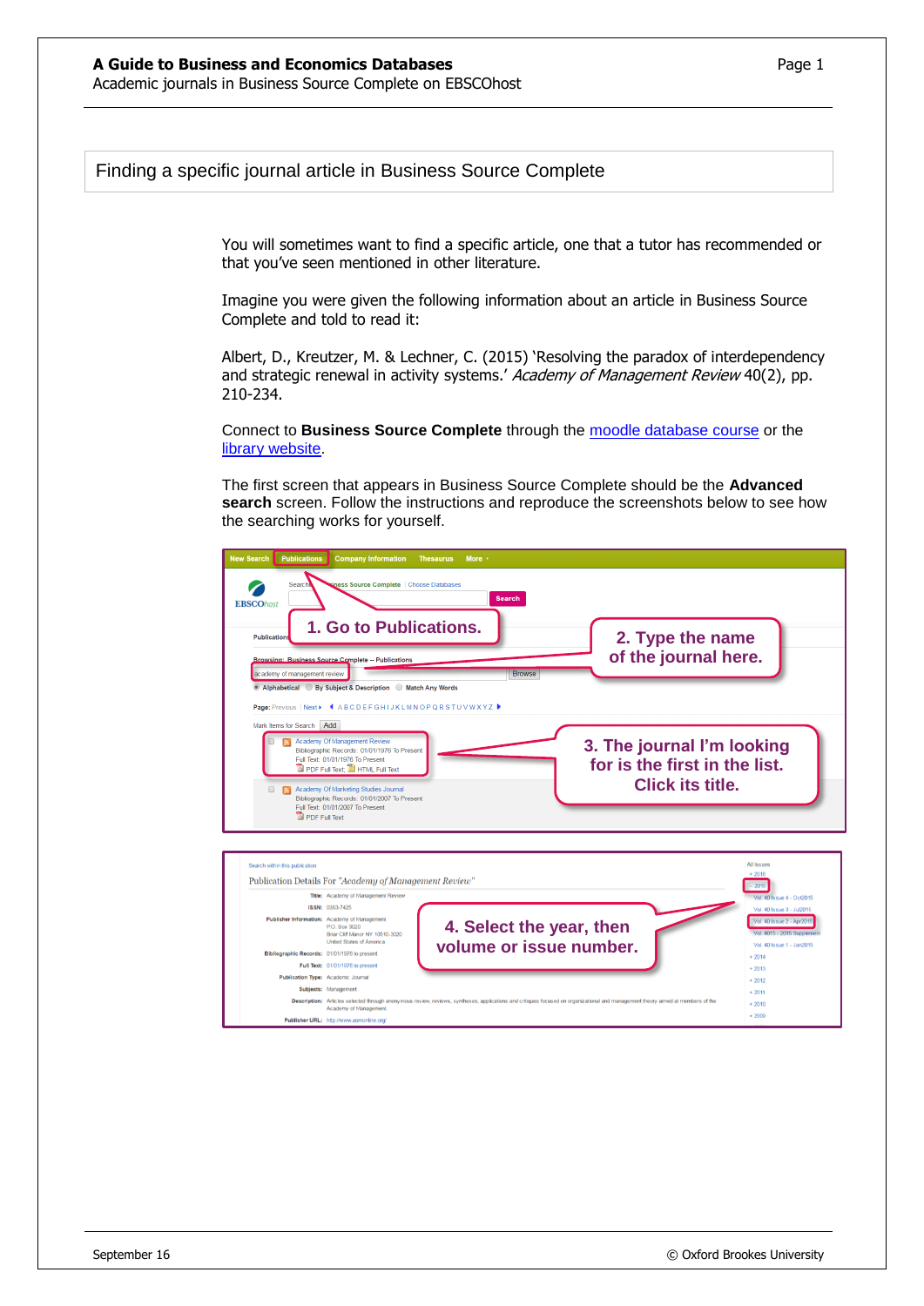You will sometimes want to find a specific article, one that a tutor has recommended or that you've seen mentioned in other literature.

Imagine you were given the following information about an article in Business Source Complete and told to read it:

Albert, D., Kreutzer, M. & Lechner, C. (2015) 'Resolving the paradox of interdependency and strategic renewal in activity systems.' Academy of Management Review 40(2), pp. 210-234.

Connect to **Business Source Complete** through the [moodle database course](https://moodle.brookes.ac.uk/course/view.php?id=19192) or the [library website.](http://www.brookes.ac.uk/Library/Subject-help/Business--Marketing-and-Economics/)

The first screen that appears in Business Source Complete should be the **Advanced search** screen. Follow the instructions and reproduce the screenshots below to see how the searching works for yourself.